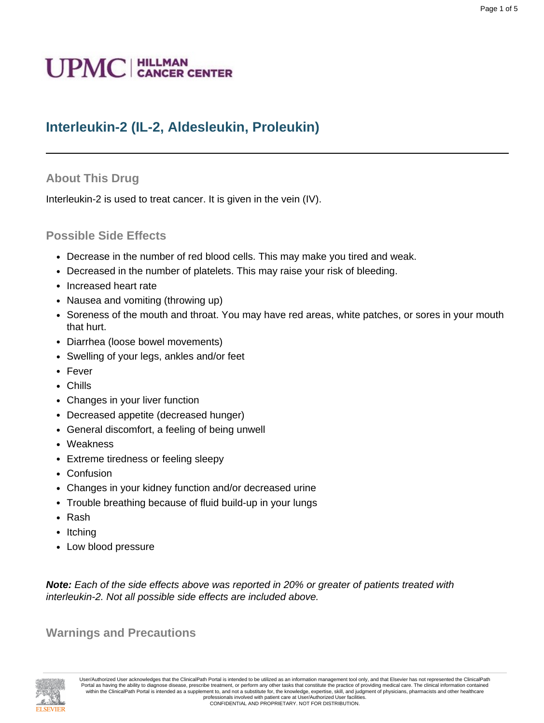# **UPMC** | HILLMAN

# **Interleukin-2 (IL-2, Aldesleukin, Proleukin)**

# **About This Drug**

Interleukin-2 is used to treat cancer. It is given in the vein (IV).

### **Possible Side Effects**

- Decrease in the number of red blood cells. This may make you tired and weak.
- Decreased in the number of platelets. This may raise your risk of bleeding.
- Increased heart rate
- Nausea and vomiting (throwing up)
- Soreness of the mouth and throat. You may have red areas, white patches, or sores in your mouth that hurt.
- Diarrhea (loose bowel movements)
- Swelling of your legs, ankles and/or feet
- Fever
- Chills
- Changes in your liver function
- Decreased appetite (decreased hunger)
- General discomfort, a feeling of being unwell
- Weakness
- Extreme tiredness or feeling sleepy
- Confusion
- Changes in your kidney function and/or decreased urine
- Trouble breathing because of fluid build-up in your lungs
- Rash
- Itching
- Low blood pressure

**Note:** Each of the side effects above was reported in 20% or greater of patients treated with interleukin-2. Not all possible side effects are included above.

**Warnings and Precautions**

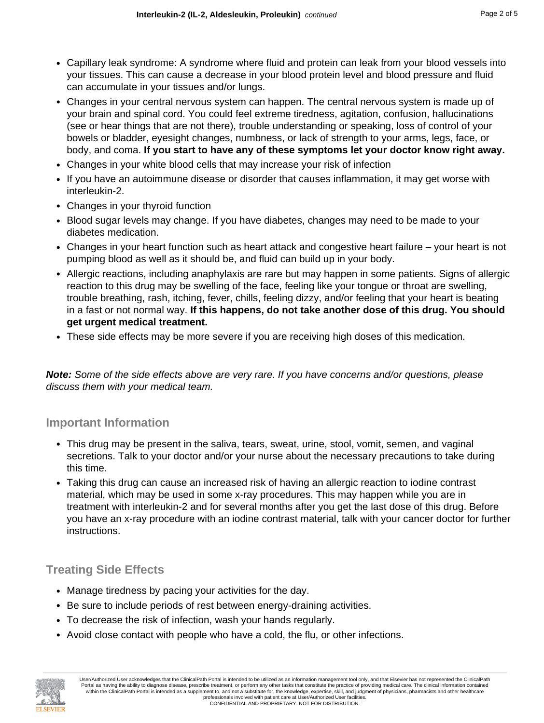- Capillary leak syndrome: A syndrome where fluid and protein can leak from your blood vessels into your tissues. This can cause a decrease in your blood protein level and blood pressure and fluid can accumulate in your tissues and/or lungs.
- Changes in your central nervous system can happen. The central nervous system is made up of your brain and spinal cord. You could feel extreme tiredness, agitation, confusion, hallucinations (see or hear things that are not there), trouble understanding or speaking, loss of control of your bowels or bladder, eyesight changes, numbness, or lack of strength to your arms, legs, face, or body, and coma. **If you start to have any of these symptoms let your doctor know right away.**
- Changes in your white blood cells that may increase your risk of infection
- If you have an autoimmune disease or disorder that causes inflammation, it may get worse with interleukin-2.
- Changes in your thyroid function
- Blood sugar levels may change. If you have diabetes, changes may need to be made to your diabetes medication.
- Changes in your heart function such as heart attack and congestive heart failure your heart is not pumping blood as well as it should be, and fluid can build up in your body.
- Allergic reactions, including anaphylaxis are rare but may happen in some patients. Signs of allergic reaction to this drug may be swelling of the face, feeling like your tongue or throat are swelling, trouble breathing, rash, itching, fever, chills, feeling dizzy, and/or feeling that your heart is beating in a fast or not normal way. **If this happens, do not take another dose of this drug. You should get urgent medical treatment.**
- These side effects may be more severe if you are receiving high doses of this medication.

**Note:** Some of the side effects above are very rare. If you have concerns and/or questions, please discuss them with your medical team.

#### **Important Information**

- This drug may be present in the saliva, tears, sweat, urine, stool, vomit, semen, and vaginal secretions. Talk to your doctor and/or your nurse about the necessary precautions to take during this time.
- Taking this drug can cause an increased risk of having an allergic reaction to iodine contrast material, which may be used in some x-ray procedures. This may happen while you are in treatment with interleukin-2 and for several months after you get the last dose of this drug. Before you have an x-ray procedure with an iodine contrast material, talk with your cancer doctor for further instructions.

# **Treating Side Effects**

- Manage tiredness by pacing your activities for the day.
- Be sure to include periods of rest between energy-draining activities.
- To decrease the risk of infection, wash your hands regularly.
- Avoid close contact with people who have a cold, the flu, or other infections.

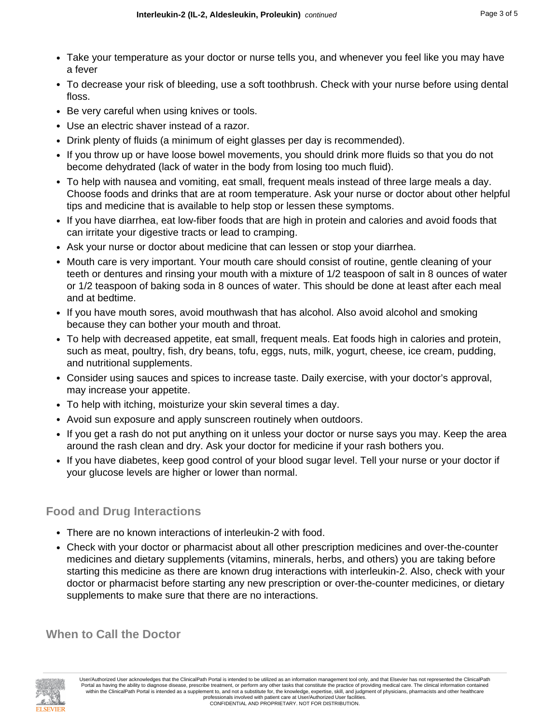- Take your temperature as your doctor or nurse tells you, and whenever you feel like you may have a fever
- To decrease your risk of bleeding, use a soft toothbrush. Check with your nurse before using dental floss.
- Be very careful when using knives or tools.
- Use an electric shaver instead of a razor.
- Drink plenty of fluids (a minimum of eight glasses per day is recommended).
- If you throw up or have loose bowel movements, you should drink more fluids so that you do not become dehydrated (lack of water in the body from losing too much fluid).
- To help with nausea and vomiting, eat small, frequent meals instead of three large meals a day. Choose foods and drinks that are at room temperature. Ask your nurse or doctor about other helpful tips and medicine that is available to help stop or lessen these symptoms.
- If you have diarrhea, eat low-fiber foods that are high in protein and calories and avoid foods that can irritate your digestive tracts or lead to cramping.
- Ask your nurse or doctor about medicine that can lessen or stop your diarrhea.
- Mouth care is very important. Your mouth care should consist of routine, gentle cleaning of your teeth or dentures and rinsing your mouth with a mixture of 1/2 teaspoon of salt in 8 ounces of water or 1/2 teaspoon of baking soda in 8 ounces of water. This should be done at least after each meal and at bedtime.
- If you have mouth sores, avoid mouthwash that has alcohol. Also avoid alcohol and smoking because they can bother your mouth and throat.
- To help with decreased appetite, eat small, frequent meals. Eat foods high in calories and protein, such as meat, poultry, fish, dry beans, tofu, eggs, nuts, milk, yogurt, cheese, ice cream, pudding, and nutritional supplements.
- Consider using sauces and spices to increase taste. Daily exercise, with your doctor's approval, may increase your appetite.
- To help with itching, moisturize your skin several times a day.
- Avoid sun exposure and apply sunscreen routinely when outdoors.
- If you get a rash do not put anything on it unless your doctor or nurse says you may. Keep the area around the rash clean and dry. Ask your doctor for medicine if your rash bothers you.
- If you have diabetes, keep good control of your blood sugar level. Tell your nurse or your doctor if your glucose levels are higher or lower than normal.

#### **Food and Drug Interactions**

- There are no known interactions of interleukin-2 with food.
- Check with your doctor or pharmacist about all other prescription medicines and over-the-counter medicines and dietary supplements (vitamins, minerals, herbs, and others) you are taking before starting this medicine as there are known drug interactions with interleukin-2. Also, check with your doctor or pharmacist before starting any new prescription or over-the-counter medicines, or dietary supplements to make sure that there are no interactions.

**When to Call the Doctor**

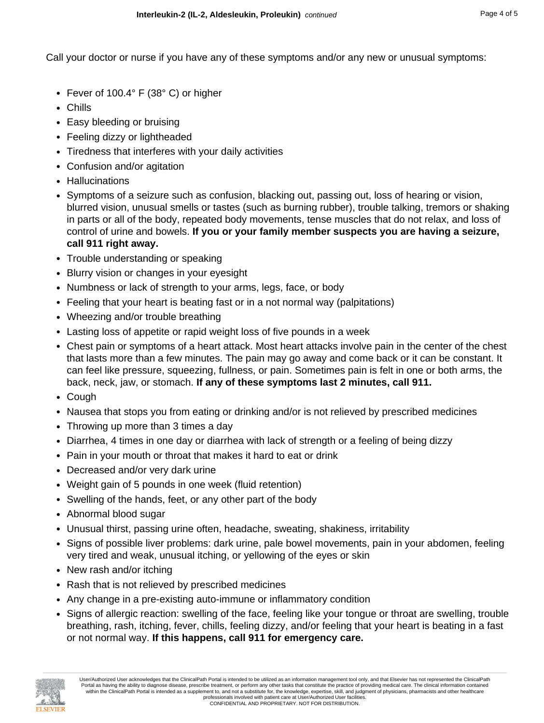Call your doctor or nurse if you have any of these symptoms and/or any new or unusual symptoms:

- Fever of 100.4° F (38° C) or higher
- Chills
- Easy bleeding or bruising
- Feeling dizzy or lightheaded
- Tiredness that interferes with your daily activities
- Confusion and/or agitation
- Hallucinations
- Symptoms of a seizure such as confusion, blacking out, passing out, loss of hearing or vision, blurred vision, unusual smells or tastes (such as burning rubber), trouble talking, tremors or shaking in parts or all of the body, repeated body movements, tense muscles that do not relax, and loss of control of urine and bowels. **If you or your family member suspects you are having a seizure, call 911 right away.**
- Trouble understanding or speaking
- Blurry vision or changes in your eyesight
- Numbness or lack of strength to your arms, legs, face, or body
- Feeling that your heart is beating fast or in a not normal way (palpitations)
- Wheezing and/or trouble breathing
- Lasting loss of appetite or rapid weight loss of five pounds in a week
- Chest pain or symptoms of a heart attack. Most heart attacks involve pain in the center of the chest that lasts more than a few minutes. The pain may go away and come back or it can be constant. It can feel like pressure, squeezing, fullness, or pain. Sometimes pain is felt in one or both arms, the back, neck, jaw, or stomach. **If any of these symptoms last 2 minutes, call 911.**
- Cough
- Nausea that stops you from eating or drinking and/or is not relieved by prescribed medicines
- Throwing up more than 3 times a day
- Diarrhea, 4 times in one day or diarrhea with lack of strength or a feeling of being dizzy
- Pain in your mouth or throat that makes it hard to eat or drink
- Decreased and/or very dark urine
- Weight gain of 5 pounds in one week (fluid retention)
- Swelling of the hands, feet, or any other part of the body
- Abnormal blood sugar
- Unusual thirst, passing urine often, headache, sweating, shakiness, irritability
- Signs of possible liver problems: dark urine, pale bowel movements, pain in your abdomen, feeling very tired and weak, unusual itching, or yellowing of the eyes or skin
- New rash and/or itching
- Rash that is not relieved by prescribed medicines
- Any change in a pre-existing auto-immune or inflammatory condition
- Signs of allergic reaction: swelling of the face, feeling like your tongue or throat are swelling, trouble breathing, rash, itching, fever, chills, feeling dizzy, and/or feeling that your heart is beating in a fast or not normal way. **If this happens, call 911 for emergency care.**